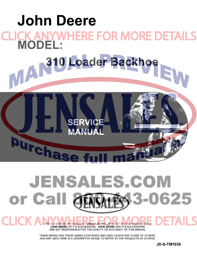

## **JENSALES.COM** 0625 or Call **TFC-3-0**

THIS IS A MANUAL PRODUCED BY JENSALES INC. WITHOUT THE AUTHORIZATION OF **JOHN DEERE** OR IT'S SUCCESSORS. **JOHN DEERE** AND IT'S SUCCESSORS ARE NOT RESPONSIBLE FOR THE QUALITY OR ACCURACY OF THIS MANUAL.

CHCK A

TRADE MARKS AND TRADE NAMES CONTAINED AND USED HEREIN ARE THOSE OF OTHERS, AND ARE USED HERE IN A DESCRIPTIVE SENSE TO REFER TO THE PRODUCTS OF OTHERS.

**JD-S-TM1036**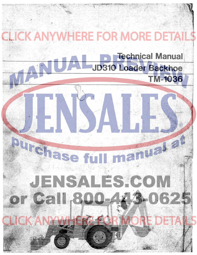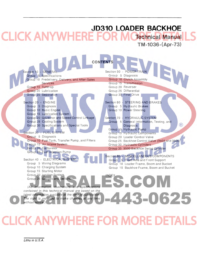## JD310 LOADER BACKHOE **Technical Manual** TM-1036-(Apr-73)

|                      |                                                          | <b>CONTENTS</b>                                                                   |
|----------------------|----------------------------------------------------------|-----------------------------------------------------------------------------------|
|                      |                                                          |                                                                                   |
| Section 10 - GENERAL |                                                          | Section 50 - POWER TRAIN                                                          |
|                      | Group 5 Specifications                                   | Group 5 Diagnosis                                                                 |
|                      | Group 10 Predelivery, Delivery, and After-Sales          | Group 10 Clutch Assembly                                                          |
|                      | <b>Services</b>                                          | Group 15 Transmission                                                             |
|                      | Group 15 Tune-up                                         | Group 20 Reverser                                                                 |
|                      | Group 20 Lubrication                                     | Group 25 Differential                                                             |
|                      | Group 25 Separation                                      | Group 30 Final Drive                                                              |
| Section 20 - ENGINE  |                                                          | Section 60 - STEERING AND BRAKES                                                  |
|                      | Group 5 Diagnosis                                        | Group 5 Hydfaulic Brakes                                                          |
|                      | Group 10 Basic Engine                                    | Group 10 Power Steering                                                           |
|                      | Group 15 Lubrication System                              |                                                                                   |
|                      | Group 20 Governor and Speed Control Linkage              | Section 70 - HYDRAULIC SYSTEM                                                     |
|                      | Group 25 Cooling System                                  | Group 5 General Information, Testing, and                                         |
|                      | Group 30 Specifications and Special Tools                | ®<br><b>Diagnosis</b>                                                             |
|                      |                                                          | Group 10 Hydraulic Pump                                                           |
|                      | Section 30 - FUEL SYSTEM                                 | Group 15 Hydraulic Components                                                     |
|                      | Group 5 Diagnosis                                        | Group 20 Loader Control Valve                                                     |
|                      | Group 10 Fuel Tank, Transfer Pump, and Filters           | Group 25 Backhoe Control Valve (9405 and 9500)                                    |
|                      | Group 15 Air Intake System                               | Group 30 Hydraulic Cylinders                                                      |
|                      | Group 20 Carburetor<br>Group 25 Fuel Injection Pump      | Group 35 9500 Backhoe Swing Cylinder                                              |
|                      |                                                          |                                                                                   |
|                      | Section 40 - ELECTRICAL SYSTEM                           | Section 80 - MISCELLANEOUS COMPONENTS                                             |
|                      | Group 5 Wiring Diagrams                                  | Group 5 Front Axle and Front Support                                              |
|                      | Group 10 Charging System                                 | Group 10 Loader Frame, Boom and Bucket<br>Group 15 Backhoe Frame, Boom and Bucket |
|                      | Group 15 Starting Motor                                  |                                                                                   |
|                      | Group 20 Ignition System                                 | <b>INDEX</b>                                                                      |
|                      | Group 25 Gauges and Switches                             |                                                                                   |
|                      |                                                          | <b>COM</b>                                                                        |
|                      | (All information, illustrations and specifications       |                                                                                   |
|                      | contained in this technical manual are based on the      |                                                                                   |
|                      | latest information available at the time of publication. |                                                                                   |
|                      | The right is reserved to make changes at any time        |                                                                                   |
| without notice.)     |                                                          |                                                                                   |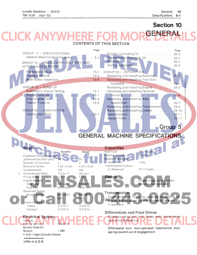## **Section 10**

## **RENFRAI** CK ANY **CONTENTS OF THIS SECTION**

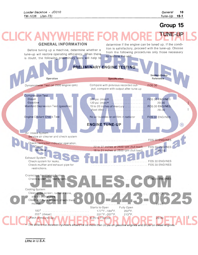## **Group 15**

## **TUNE-UP GENERAL INFORMATION**  determine if the engine can be tuned up. If the condi-

Before tuning up a machine, determine whether a tune-up will restore operating efficiency. When there is doubt, the following preliminary tests will help to

tion is satisfactory, proceed with the tune-up. Choose from the following procedures only those necessary to restore the unit.

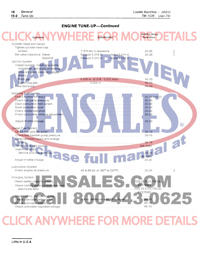### **ENGINE TUNE-UP-Continued**



# CK ANYWHERE FOR MOF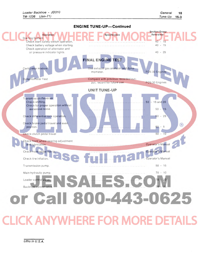

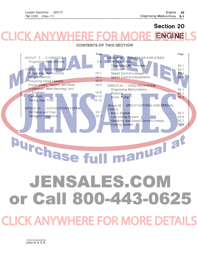## **Section 20 ENGINE**

## **CONTENTS OF THIS SECTION**

| Page<br>GROUP 5 - DIAGNOSIS<br>$5 - 2$<br>GROUP 10 - BASIC ENGINE<br>Diagnosing Malfunctions  10-1<br>Adjusting Valve Tappets  10-3 | Page<br><b>GROUP 20 - GOVERNOR AND SPEED</b><br><b>CONTROL LINKAGE</b><br>Diagnosing Malfunctions<br>$20 - 1$<br>$20 - 1$<br>Speed Control Linkage<br>$20 - 4$<br>Speed Control Adjustments  20-5      |  |
|-------------------------------------------------------------------------------------------------------------------------------------|--------------------------------------------------------------------------------------------------------------------------------------------------------------------------------------------------------|--|
| Block, Liners, Pistons, and Rods 10-4<br>Crankshaft, Main Bearings, and<br><b>GROUP 15 - LUBRICATION SYSTEM</b>                     | GROUP 25 - COOLING SYSTEM<br>Diagnosing Malfunctions  25-1<br>Group 30 - SPECIFICATIONS AND SPECIAL<br><b>TOOLS</b><br>$30 - 1$<br>Lubricating System  30-6<br>Governor and Speed Control Linkage 30-7 |  |
| Urchase                                                                                                                             | <b>Inual</b> a                                                                                                                                                                                         |  |

# JENSALES.COM or Call 800-443-0625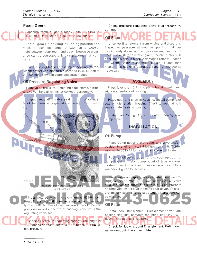#### **Pump Gears**

Measure width of gears (early units - 1.4163 to 1.4183 inch -later units 1,6203 to 1.6223 inch).

> Install gears in housing in running position and measure radial clearance (0.0030-inch to 0.0060inch) between gear teeth and body. Excessive clearance can be corrected only by replacement of worn parts.

> Place a straightedge across top of housing (to represent cover) and measure clearance (0.0012 inch to 0.0062 inch) between gears and straightedge.

#### Oil Pressure **Regulating Valve**

 $JD2$ 

**IF** 

T21221

Remove oil pressure regulating plug, shims, spring, and valve. Save all shims for correct reassembly.

Inspect regulating valve seat in front of cylinder block for damage (especially at raised rim of bushing).

#### **ASSEMBLY**

Check pressure regulating valve plug threads for

Unscrew filter element from engine and discard it. Inspect oil passages at mounting point on cylinder block (early diesel and all gasoline engines) or oil cooler base (later diesel engines) for obstructions. If filter base nipple in block is damaged refer to Section 20, Group 10 for replacement details. If filter base nipple in oil cooler is damaged, repair or replace as

Press idler shaft (11) into pump housing until flush with outer surface of housing.

Place gear and shaft in housing. Install pump idler gear on idler shaft in housing. Check to see that both gears rotate freely in housing.

Install new O-ring (13) in oil outlet opening in oil pump cover.

**INSTALLATION** 

#### $\circledR$

#### **Oil Pump**

damage.

Oil Filter

necessary.

Place pump housing with gears and drive shaft in position in engine. Install drive gear on shaft. Tighten hex. nut to 35 to 45 ft-Ibs and then stake nut to shaft.

Position oil pump cover and screen up against pump housing. Install pump outlet oil tube in cover. Fasten cover in place with four cap screws and lock washers. Tighten to 35 ft-Ibs.

Place valve and spring in valve hole in engine timing gear cover. With an aluminum washer on valve plug and same number of shims in plug counterbore as removed, install plug in timing gear cover. This is a preliminary setting to be used until oil pressure can

**Oil Filter** 

ar.

be checked.

Install new filter element. Turn element down until sealing ring just contacts mounting pad; then turn down an additional 1-1/2 turns.

Check for leaks around filter element. Retighten necessary, but do not overtighten.

Press new bushing into block using JD248 tool. Press in bushing until outer recessed edge of bushing is flush with bottom of counterbore in block. Do not press on raised inner rim of bushing. This rim is the regulating valve seat.

ig. 4-Installing Pressure Regulating Valve Bushing

Check oil pressure regulating spring. Free length is [4.68 inches and test length is 1.68 inches at 15± 1.5](http://www.jensales.com/products/john-deere-310-tractor-loader-backhoe-service-manual.html)  Ibs. pressure.

Litho in U.S.A.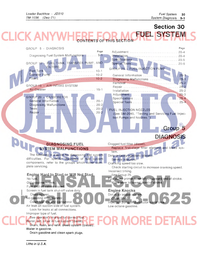#### **Section 30 ICK ANY FUEL SYSTEM** ÷ ONTENTS OF THIS SECTION

| GROUP 5 - DIAGNOSIS                                                                     | Page                                                                          |  |
|-----------------------------------------------------------------------------------------|-------------------------------------------------------------------------------|--|
| Page                                                                                    |                                                                               |  |
| Diagnosing Fuel System Malfunctions 5-1                                                 |                                                                               |  |
| GROUP 10 - FUEL TANK, TRANSFER PUMP, AND                                                |                                                                               |  |
| <b>FILTERS</b>                                                                          |                                                                               |  |
|                                                                                         | GROUP 25 - FUEL INJECTION PUMP                                                |  |
|                                                                                         | $\ldots$ 25-1                                                                 |  |
|                                                                                         |                                                                               |  |
| GROUP 15 - AIR INTAKE SYSTEM                                                            |                                                                               |  |
|                                                                                         |                                                                               |  |
|                                                                                         |                                                                               |  |
| GROUP 20 - CARBURETOR                                                                   |                                                                               |  |
|                                                                                         |                                                                               |  |
|                                                                                         |                                                                               |  |
|                                                                                         | FUEL INJECTION NOZZLES                                                        |  |
|                                                                                         | (See SM-2045, "Testing and Servicing Fuel Injec-<br>tion Pumps and Nozzles.") |  |
|                                                                                         |                                                                               |  |
|                                                                                         |                                                                               |  |
|                                                                                         | Group 5                                                                       |  |
|                                                                                         |                                                                               |  |
|                                                                                         | <b>DIAGNOSIS</b>                                                              |  |
| <b>DIAGNOSING FUEL</b>                                                                  | Clogged fuel filter (diesel).                                                 |  |
| <b>SYSTEM MALFUNCTIONS</b>                                                              | Replace first-stage filter element and bleed sys-                             |  |
| The following is a guide for diagnosing fuel system                                     | tem.                                                                          |  |
| difficulties. For specific diagnosis of fuel system                                     | Dirty or faulty injectors (diesel)<br>Service injectors.                      |  |
| components, refer to the groups which cover com-                                        | Cranking speed too slow.                                                      |  |
| plete servicing.                                                                        | Check starting circuit to increase cranking speed.                            |  |
|                                                                                         | Incorrect timing.                                                             |  |
| Engine Hard to Start or Will Not Start                                                  |                                                                               |  |
|                                                                                         | See Group 25.                                                                 |  |
| No fuel.                                                                                | Fuel pump primer lever left on upward end of stroke.                          |  |
| Old gasoline in tank.                                                                   | Move lever to lowest point of stroke.                                         |  |
| Fuel shut off valves closed.                                                            |                                                                               |  |
| Screen in fuel tank shut-off valve dirty.                                               | <b>Engine Knocks</b>                                                          |  |
| Clean screen.<br>No gasoline in carburetor.                                             | Dirt in air intake system<br>Clean filter.                                    |  |
| Clean fuel line and carburetor.                                                         | Injection pump or distributor out of time.                                    |  |
| Air leak on suction side of fuel system.                                                | Low octane gasoline.                                                          |  |
| Look for leaks at all connections.                                                      |                                                                               |  |
| Improper type of fuel.                                                                  |                                                                               |  |
| See operator's manual for correct fuel.<br>Water, dirt, or air in fuel system (diesel). |                                                                               |  |
| Drain, flush, and refill. Bleed system (diesel).                                        | <b>MORE DETA</b>                                                              |  |
| Water in gasoline.                                                                      |                                                                               |  |
| Drain gasoline and clean spark plugs.                                                   |                                                                               |  |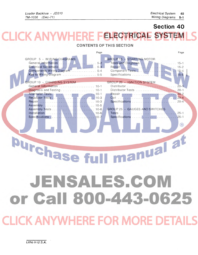## **Section 40 K ANYWH ELECTRICAL SYST**

### **CONTENTS OF THIS SECTION**

|                                                                                           | Page |                                  | Page     |
|-------------------------------------------------------------------------------------------|------|----------------------------------|----------|
| GROUP 5 - WIRING DIAGRAMS<br>Components Wiring Diagram  5-4<br>Key to Wiring Diagram  5-5 |      | <b>GROUP 15 - STARTING MOTOR</b> |          |
| GROUP 10 - CHARGING SYSTEM                                                                |      | GROUP 20 - IGNITION SYSTEM       |          |
|                                                                                           |      |                                  | $20 - 1$ |
| Diagnosis and Testing 10-1                                                                |      |                                  | $20 - 1$ |
|                                                                                           |      |                                  |          |
|                                                                                           |      |                                  |          |
|                                                                                           |      | Specifications                   | $20 - 4$ |
|                                                                                           |      |                                  |          |
|                                                                                           |      | GROUP 25 - GAUGES AND SWITCHES   |          |
|                                                                                           |      |                                  | $25 - 1$ |
|                                                                                           |      |                                  |          |
|                                                                                           |      |                                  |          |

manual at **Purchase fu** 

 $\overline{\phantom{a}}$ 

# JENSALES.COM or Call 800-443-0625

LICK ANYWHERE FOR MORE DE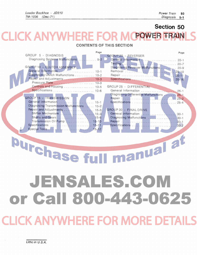## **Section 50 CLICK ANYWHERE FO** POWER TRAIN CONTENTS OF THIS SECTION

|                                           | Page |                                            | Page      |
|-------------------------------------------|------|--------------------------------------------|-----------|
| GROUP 5 - DIAGNOSIS                       |      | GROUP 20 - REVERSER                        |           |
|                                           |      | General Information  20-1                  |           |
|                                           |      |                                            |           |
| GROUP 10 - CLUTCH ASSEMBLY                |      | Diagnosing Reverser Malfunctions 20-9      |           |
|                                           |      |                                            |           |
| Diagnosing Clutch Malfunctions  10-2      |      |                                            |           |
| Repair and Adjustments  10-3              |      |                                            | $20 - 16$ |
|                                           |      |                                            |           |
| Controls and Housing  10-5                |      | GROUP 25 - DIFFERENTIAL                    |           |
|                                           |      | General Information  25-1                  |           |
|                                           |      | Diagnosing Differential Malfunctions  25-1 |           |
| GROUP 15 - TRANSMISSION                   |      |                                            |           |
|                                           |      |                                            |           |
| Diagnosing Transmission Malfunctions 15-2 |      |                                            |           |
| Repair and Adjustments  15-3              |      | GROUP 30 - FINAL DRIVE                     |           |
| Shifter Mechanism 15-3                    |      |                                            |           |
|                                           |      | Diagnosing Malfunctions  30-1              |           |
| Transmission Oil Pump 15-10               |      |                                            |           |
|                                           |      |                                            |           |
|                                           |      |                                            |           |

Purchase full manual at JENSALES.COM

or Call 800-443-0625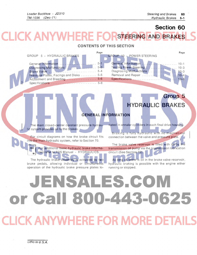Group 5

## Section 60 **CK ANYWHERE STEERING AND BRAKES**

#### **CONTENTS OF THIS SECTION**

|                                        | Page |                                         | Page |
|----------------------------------------|------|-----------------------------------------|------|
| GROUP 5 - HYDRAULIC BRAKES             |      | GROUP 10 - POWER STEERING               |      |
|                                        |      |                                         |      |
|                                        |      |                                         |      |
|                                        |      |                                         |      |
|                                        |      | Diagnosing Malfunctions (Marshall 10-3) |      |
| Pressure Plates, Facings and Disks 5-5 |      |                                         |      |
|                                        |      |                                         |      |
|                                        |      |                                         |      |
|                                        |      |                                         |      |

**GENERAL INFORMATION** 

The main closed-center constant pressure hydraulic system provides oil to the brakes.

For circuit diagrams on how the brake circuit fits into the main hydraulic system, refer to Section 70.

For additional basic hydraulic brake information refer to FOS Manual - HYDRAULICS.

The hydraulic brake assembly is activated by two brake pedals, allowing individual or simultaneous operation of the hydraulic brake pressure plates located in annular cylinders in each final drive housing.

**HYDRAULIC BRAKES** 

Braking is fully hydraulic with no mechanical connection between the valve and pressure plate.

The brake valve reservoir is filled with oil by the transmission oil pump via the transmission lubrication circuit (See Section 70).

As long as there is oil in the brake valve reservoir, hydraulic braking is possible with the engine either running or stopped.

# JENSALES.CON or Call 800-443-0625 **CLICK ANYWHERE FOR MORE DETAILS**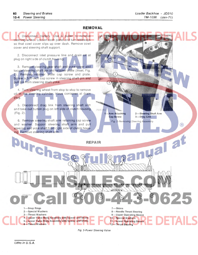cover and steering shaft support.

 $\circledR$ 

525

ngal at

#### **REMOVAL**

Disconnect battery. Use a puller to remove steering wheel. Loosen dash panel and turn sideways so that cowl cover slips up over dash. Remove cowl

2. Disconnect inlet pressure line and drain oil at plug on right side of clutch housing.

3. Remove steering gear shaft and yoke cover and locate steering shaft pin and retainer plate (inset, Fig. 2). Remove retainer plate cap screw and plate. [Screw a 3/8-inch cap screw in steering shaft pin and](http://www.jensales.com/products/john-deere-310-tractor-loader-backhoe-service-manual.html)  pull pin from steering shaft yoke.

4. Turn steering wheel from stop to stop to remove oil in the steering cylinder. Have container at drain plug.

5. Disconnect drag link from steering shaft arm and take out button plug on left side of clutch housing (Fig. 2).

6. Remove steering shaft arm retaining cap screw and washer. Support steering shaft arm and pull steering and yoke shaft from right side of clutch housing. Remove steering shaft arm.

> 4-Upper Valve Body Assembly with Spacer and Shims 5-Lower Valve Body Assembly with Spacer and Shims

**Arm Attaching** Cap Screw 2-Steering Shaft Arm 3-Drag Link Fig. 2-Removing Steering Assembly

Fig. 3-Power Steering Valve

7-Shims

8-Needle Thrust Bearing 9-Upper Operating Sleeve 10-Special Washers 11-Lower Operating Sleeve 12-Thrust Bearing

**REPAIR** 

rstida

1-Snap Rings 2-Special Washers 3-Thrust Washers

Purcha

6-Thrust Washers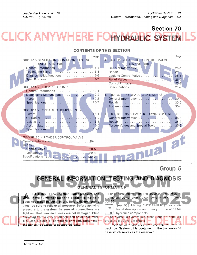## **Section 70** K ANYWI **DRAULIC SYS**

#### CONTENTS OF THIS SECTION

| GROUP 5-GENERAL INFORMATION, TESTING   | Page                                              | GROUP 25 - BACKHOE CONTROL VALVE                    | Page                 |
|----------------------------------------|---------------------------------------------------|-----------------------------------------------------|----------------------|
| <b>AND DIAGNOSIS</b>                   |                                                   | $(9405$ and $9500)$                                 |                      |
|                                        | $5 - 1$                                           |                                                     | $25 - 1$             |
|                                        |                                                   |                                                     | $25 - 3$             |
|                                        | Diagnosing Malfunctions  5-6                      |                                                     | $25 - 6$             |
|                                        |                                                   | Relief Valves<br>Control Linkage                    | $25 - 7$<br>$25 - 8$ |
| <b>GROUP 10-HYDRAULIC PUMP</b>         |                                                   |                                                     | $25 - 9$             |
|                                        | General Information  10-1                         |                                                     |                      |
|                                        |                                                   | <b>GROUP 30 - HYDRAULIC CYLINDERS</b>               |                      |
|                                        |                                                   |                                                     |                      |
|                                        |                                                   |                                                     |                      |
|                                        |                                                   |                                                     |                      |
| <b>GROUP 15-HYDRAULIC COMPONENTS</b>   |                                                   |                                                     |                      |
|                                        |                                                   | GROUP 35 - 9500 BACKHOE SWING CYLINDER              |                      |
|                                        |                                                   |                                                     |                      |
|                                        |                                                   |                                                     |                      |
|                                        |                                                   | Torque Values and Special Tools 3545)               |                      |
|                                        |                                                   |                                                     |                      |
| <b>GROUP 20 - LOADER CONTROL VALVE</b> |                                                   |                                                     |                      |
|                                        |                                                   |                                                     |                      |
| Repair-                                |                                                   |                                                     |                      |
|                                        |                                                   |                                                     |                      |
|                                        |                                                   |                                                     |                      |
|                                        |                                                   | nual al                                             |                      |
|                                        |                                                   |                                                     |                      |
|                                        |                                                   |                                                     | Group 5              |
|                                        |                                                   |                                                     |                      |
|                                        |                                                   |                                                     |                      |
|                                        |                                                   | GENERAL INFORMATION, TESTING AND DIAGNOSIS          |                      |
|                                        |                                                   | GENERAL INFORMATION                                 |                      |
|                                        |                                                   |                                                     |                      |
|                                        | <b>CAUTION: Escaping fluid under pressure can</b> | For general information and repair on the hydraulic |                      |
|                                        | have sufficient force to penetrate the skin       | brakes and power steering components refer to Sec-  |                      |

 $\blacksquare$  have sufficient force to penetrate the skin causing serious personal injury. Before disconnecting lines, be sure to relieve all pressure. Before applying pressure to the system, be sure all connections are tight and that lines and hoses are not damaged. Fluid escaping from a very small hole can be almost invisible. Use a piece of cardboard or wood, rather than the hands, to search for suspected leaks.

tion 60.<br>
Fest See FOS Manual "HYDRAULICS" for additional description and theory of operation for a hydraulic components. The hydraulic system is a closed-center, constant

pressure type system (Fig. 1). It hydraulically operates the steering, loader and backhoe. System oil is contained in the transmission case which serves as the reservoir.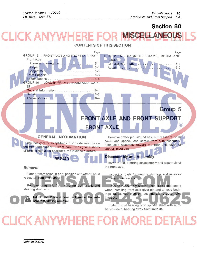## Section 80 **MISCELL ANEOUS**

### CONTENTS OF THIS SECTION

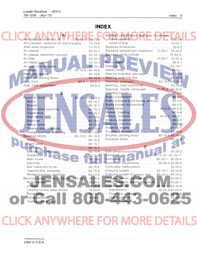## **INDEX**

|                                                                              | Backhoe control valve, hydraulic (Continued):       |
|------------------------------------------------------------------------------|-----------------------------------------------------|
| Accumulator, hydraulic oil    70-15-5 - 70-15-6                              | Valve assembly M. M. M. M. M. 19925-4               |
| Accumulator, hydraulic oil, pre-charging 70-15-6                             |                                                     |
| After-sales inspection 10-10-3                                               | Backhoe dimensions  10-5-3                          |
| Air cleaner  30-15-1                                                         | Backhoe removal and installation 10-25-1 - 10-25-2  |
|                                                                              | Backhoe swing cylinder  70-30-3.                    |
| Air filter<br>Air intake system<br>Albert (1994)<br>Albert (1994)<br>20-15-1 | 70-35-1 - 70-35-4<br>Basic engine                   |
|                                                                              |                                                     |
|                                                                              |                                                     |
|                                                                              |                                                     |
| Alternator testing  40-10-6                                                  | Bearing drive end, alternator  40-10-4              |
| Armature, starting motor  40-15-4                                            |                                                     |
|                                                                              | Bearings, alternator  40-10-3,40-10-4               |
| Axle, front, adjustment 80-5-3                                               | Bearings, main crankshaft 20-10-8                   |
|                                                                              | Bearings, needle, carburetor  30-20-3 - 30-20-4     |
| В                                                                            |                                                     |
|                                                                              |                                                     |
|                                                                              | Brake pressure plate facing, and disk  60-5-5       |
|                                                                              | Brake system malfunctions  60-5-3                   |
|                                                                              |                                                     |
|                                                                              | Brakes, hydraulic 60-5-1 - 60-5-7                   |
|                                                                              | Braking, equalized  60-5-3                          |
|                                                                              | Braking, individual  60-5-2)                        |
|                                                                              |                                                     |
| Tapered pins, assembly  80-15-4                                              | Brushes, alternator 40-10-4                         |
| Wedge bushings, assembly  80-15-4<br>Backhoe (9500)  80-15-5 - 80-15-9       | Brushes, starting motor  40-15-4,40-15-5            |
| Boom 80-15-8                                                                 |                                                     |
|                                                                              |                                                     |
|                                                                              |                                                     |
| Bucket tooth assembly 80-15-9                                                | Cam advance adjustment 30-25-3                      |
|                                                                              | Camshaft      20-10-10 - 20-10-11                   |
|                                                                              | Carburetor 30-20-1 - 30-20-4                        |
|                                                                              | Carburetor adjustments  20-20-5,30-20-4             |
| Sub frame and tie bar  80-15-5                                               | Carburetor malfunctions  30-20-2                    |
| Tapered pins, assembly  80-15-9                                              | Charging system 40-10-1 - 40-10-6                   |
| Wedge bushings, assembly  80-15-9                                            | Charging system diagnosis, test . 40-10-1 - 40-10-3 |
| Backhoe control valve, hydraulic 70-25-1 - 70-25-8                           | Choke assembly, carburetor  30-20-3                 |
| Boom section<br>$70 - 25 - 2$                                                | 40-25-1                                             |
| $70 - 25 - 8$<br>Linkage                                                     | Clutch assembly:  50-10-1 - 50-10-6                 |
| Locking control valve (9500)<br>$70 - 25 - 6$                                | Adjustments  50-10-4,50-10-6                        |
| $70 - 25 - 7$                                                                | $50 - 10 - 6$                                       |
| Swing section<br>$70 - 25 - 3$                                               | Clutch controls<br>$50 - 10 - 5$                    |
| Testing control valve.<br>$70 - 25 - 2$                                      | Clutch housing<br>$50 - 10 - 6$                     |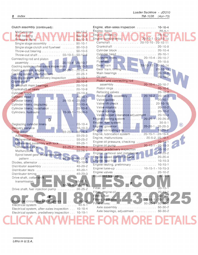| Clutch assembly (continued):                                    |                 |                                                           |               |                |
|-----------------------------------------------------------------|-----------------|-----------------------------------------------------------|---------------|----------------|
|                                                                 |                 | Engine, basic<br>Engine, preak-in M. M. Consults 190-10-7 |               |                |
| Malfunctions  A ININYAA/IL 50-10-2                              |                 |                                                           |               |                |
| Pressure plate         50-10-3                                  |                 |                                                           |               |                |
| Single stage assembly  50-10-1                                  |                 |                                                           |               |                |
| Single stage clutch and flywheel  50-10-3                       |                 | Crankshaft  20-10-8                                       |               |                |
| Throw-out bearing 50-10-5                                       |                 |                                                           |               |                |
| Throw-out shaft 50-10-5 - 50-10-6                               |                 |                                                           |               |                |
| Connecting rod and piston                                       |                 |                                                           |               |                |
|                                                                 |                 |                                                           |               |                |
| Cooling system, after-sales inspection  10-10-3                 |                 | Gear train 20-10-12 - 20-10-14                            |               |                |
|                                                                 |                 |                                                           |               |                |
| Cooling system, malfunctions 20-25-1                            |                 |                                                           |               |                |
| Cooling system, predelivery inspection  10-10-1                 |                 |                                                           |               |                |
|                                                                 |                 | Piston and connecting rod                                 |               |                |
|                                                                 |                 | assembly 20-10-4 - 20-10-7                                |               |                |
|                                                                 |                 |                                                           |               |                |
|                                                                 |                 |                                                           |               |                |
|                                                                 |                 | Rocker arm assembly 20-10-2 - 20-10-3                     |               |                |
| Cylinder liners 20-10-4 - 20-10-7                               |                 |                                                           |               |                |
| Cylinder liners, deglazing  20-10-4                             |                 |                                                           |               |                |
|                                                                 |                 |                                                           |               |                |
| Cylinders, hydraulic  70-30-1 - 70-30-3                         |                 |                                                           |               |                |
|                                                                 |                 | Valve tappet clearance adjustment 20-10-3                 |               |                |
| D                                                               |                 | Engine cooling system 20-25-1 - 20-25-4                   |               |                |
|                                                                 |                 |                                                           |               |                |
| Deglazing cylinder liners  20-10-4                              |                 | Engine, governor 20-20-1 - 20-20-3                        |               | $^{\circledR}$ |
| Differential: 50-25-1 - 50-25-4                                 |                 | Engine lubricating oils 10-20-2                           |               |                |
|                                                                 |                 | Engine, lubrication system 20-15-1 - 20-15-4              |               |                |
|                                                                 |                 | Engine, malfunctions  20-5-2, 20-10-1                     |               |                |
| Differential assembly  50-25-2                                  |                 | Engine oil pressure, checking  20-15-1                    |               |                |
| Differential assembly with lock 50-25-1                         |                 | Engine oil pump  20-15-1 - 20-15-3                        |               |                |
|                                                                 |                 | Engine, predelivery inspection 10-10-2                    |               |                |
|                                                                 |                 | Engine, removal and installation 10-25-2                  |               |                |
| Spiral bevel gear and pinion tooth<br>pattern 50-25-3 - 50-25-4 |                 | Engine speed control linkage  20-20-4                     |               |                |
|                                                                 |                 |                                                           |               |                |
|                                                                 |                 | Engine testing, preliminary  10-15-1                      |               |                |
| Distributor assembly  40-20-2                                   | $40 - 20 - 1$   | Engine tune-up 10-15-1 - 10-15-3                          |               |                |
|                                                                 |                 | Engine valves                                             | $20 - 10 - 2$ |                |
| Distributor timing  40-20-3<br>Drive shaft, collar-shift        |                 |                                                           | $60 - 5 - 3$  |                |
|                                                                 | $50 - 15 - 1$ , |                                                           |               |                |
| transmission<br>$50 - 15 - 6 - 50 - 15 - 9$                     |                 |                                                           |               |                |
| Drive shaft, fuel injection pump                                | $30 - 25 - 2$   | Filter, air                                               | $30 - 15 - 1$ |                |
|                                                                 |                 | Filter, engine oil and a company of the company           | $20 - 15 - 1$ |                |
|                                                                 |                 | Filters, fuel                                             | $30 - 10 - 2$ |                |
|                                                                 |                 | Filters, hydraulic 70-15-1 - 70-15-2                      |               |                |
| Electrical circuit test and diagnosis                           | $40 - 5 - 2$    | Final drives: T. M. M. M. M. S0-30-1-50-30-2              |               |                |
|                                                                 | $40 - 5 - 1$    |                                                           |               |                |
| Electrical system, after-sales inspection 10-10-4               |                 | Axle bearings, adjustment  50-30-2                        |               |                |
| Electrical system, predelivery inspection 10-10-1               |                 |                                                           |               |                |
|                                                                 |                 |                                                           |               |                |
|                                                                 |                 |                                                           |               |                |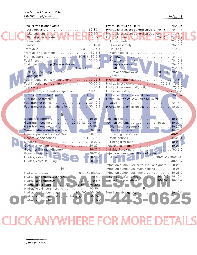|  |  |  | Index | З |
|--|--|--|-------|---|
|--|--|--|-------|---|

| Final drives (Continued):<br>Axle housing  50-30-1 |                 | Hydraulic return oil filter  70-15-1<br>Hydraulic pressure control valve . 70-15-3 - 70-15-4 |
|----------------------------------------------------|-----------------|----------------------------------------------------------------------------------------------|
| Malfunctions N. 7. 1. 7. 7. 1. 1. 50-30-1          |                 | Hydraulic pressure control valve check  70-5-5                                               |
|                                                    | $50 - 30 - 1$   |                                                                                              |
| Flywheel  20-10-8                                  |                 | Drive assembly  70-10-5                                                                      |
|                                                    |                 |                                                                                              |
| Front axle adjustment 80-5-3                       |                 |                                                                                              |
| Front support 80-5-3 - 80-5-4                      |                 |                                                                                              |
|                                                    |                 |                                                                                              |
| Fuel injection pump (Roosa-Master                  |                 |                                                                                              |
|                                                    |                 |                                                                                              |
| Fuel injection pump drive shaft                    |                 | Stroke control valve 70-10-4 - 70-10-6                                                       |
|                                                    |                 |                                                                                              |
| Fuel injection pump malfunctions  30-25-1          |                 |                                                                                              |
|                                                    |                 |                                                                                              |
|                                                    |                 | Hydraulic system malfunctions  70-5-6                                                        |
| Fuel system, after-sales inspection  10-10-3       |                 | Hydraulic testing 70-5-3 - 70-5-5                                                            |
| Fuel system malfunctions 30-5-1 - 30-5-2           |                 |                                                                                              |
|                                                    |                 | Hydraulic transmission oil filter relief                                                     |
| Fuel transfer pump malfunctions  30-10-2           |                 | Hydraulic transmission oils 10-20-2                                                          |
|                                                    |                 |                                                                                              |
| G                                                  |                 |                                                                                              |
| Gauges, electrical 40-25-1                         |                 | $40 - 20 - 4$                                                                                |
| Gear train, engine 20-10-12 - 20-10-14             |                 | Ignition system: 40-20-1 - 40-20-4                                                           |
| Gear train, engine, timing 20-10-13                |                 | Distributor assembly  40-20-2                                                                |
| General after-sales inspection New Lewis 2010-4    |                 |                                                                                              |
| General predelivery inspection 10-10-2             |                 | Indexing distributor 40-20-3                                                                 |
| General specifications  10-5-1 - 10-5-3            |                 |                                                                                              |
| Governor, engine  20-20-1                          |                 | Timing distributor 40-20-3                                                                   |
| Governor linkage adjustment  20-20-3               |                 |                                                                                              |
| Governor malfunctions 20-20-1                      |                 | Injection pump, fuel (Roosa-Master                                                           |
|                                                    |                 | $JDB$ , $\ldots$ , $\ldots$ , $\ldots$ , $\ldots$ , $30-25-1-30-25-4$ ,                      |
|                                                    |                 | $40 - 10 - 7$                                                                                |
|                                                    |                 | Injection pump, fuel, drive shaft and gears . 30-25-2                                        |
| Н                                                  |                 | Injection pump, fuel, malfunctions 30-25-1                                                   |
| Hydraulic brakes 60-5-1 - 60-5-7                   |                 | Injection pump, fuel, timing  30-25-3                                                        |
| Hydraulic circuit flow diagram  70-5-2             |                 | Inspection, after-sales 10-10-3 - 10-10-4                                                    |
|                                                    | $70 - 5 - 4$    | Inspection, predelivery<br>$10-10-1 - 10-10-2$                                               |
|                                                    |                 |                                                                                              |
| Hydraulic cylinders, testing                       | $70 - 30 - 1$   |                                                                                              |
| Hydraulic oil accumulator  70-15-5 - 70-15-6       |                 | Knurling valve guides .                                                                      |
| Hydraulic oil accumulator, pre-charging  70-15-6   |                 |                                                                                              |
| Hydraulic oil cooler                               | $0.11.170-15-2$ |                                                                                              |
|                                                    |                 |                                                                                              |
|                                                    |                 |                                                                                              |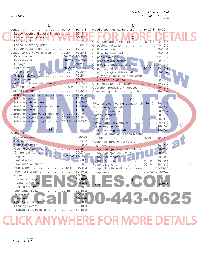| Index<br>4 |                                                                              |                                                           | Loader Backhoe - JD310<br>TM-1036 | $(Apr-73)$ |
|------------|------------------------------------------------------------------------------|-----------------------------------------------------------|-----------------------------------|------------|
|            |                                                                              | N                                                         |                                   |            |
|            | Loader:  80-10-1 - 80-10-3                                                   | Needle bearings, carburetor 30-20-3 - 30-20-4             |                                   |            |
|            | Loader boom and bucket linkage   80-10-1<br>Loader boom cylinder N. 70-30-11 | $\bullet$<br>Oil accumulator, hydraulic 70-15-5 - 70-15-6 |                                   |            |
|            | Loader bucket cylinder  70-30-2                                              | Oil cooler, hydraulic  70-15-2                            |                                   |            |
|            | Loader bucket teeth 80-10-3                                                  |                                                           |                                   |            |
|            | Loader control valve, hydraulic 70-20-1 - 70-20-8                            | Oil filter, hydraulic return  70-15-1                     |                                   |            |
|            | Boom section  70-20-2,70-20-6                                                |                                                           |                                   |            |
|            | Bucket section 70-20-3, 70-20-5                                              |                                                           |                                   |            |
|            |                                                                              |                                                           |                                   |            |
|            | Relief valve 70-20-4,70-20-7                                                 |                                                           |                                   |            |
|            |                                                                              | Oil pump, engine, drive shaft  20-15-2                    |                                   |            |
|            |                                                                              | Oil pump, transmission, collar-shift 50-15-10             |                                   |            |
|            |                                                                              |                                                           |                                   |            |
|            | Loader installation and removal  10-25-8                                     |                                                           |                                   |            |
|            | Lock, differential 50-25-2 - 50-25-3                                         | Operation, predelivery inspection 10-10-2                 |                                   |            |
|            |                                                                              | Overrunning clutch starting motor $40-15-4$               |                                   |            |

|                                                      | Overrunning    |
|------------------------------------------------------|----------------|
|                                                      |                |
|                                                      |                |
|                                                      | Piston and co  |
| Lubrication, after-sales inspection 10-10-4          | Piston rings.  |
|                                                      | Pistons, insta |
| Lubrication, predelivery inspection N.  1 10-10-1    | Pistons, remo  |
| Lubrication system, engine  20-15-1 - 20-15-4        | Power train.   |
| Lubrication system, malfunctions . 20-15-1 - 20-15-2 | Power train n  |
|                                                      | Predelivery s  |
|                                                      | Preliminary e  |
|                                                      |                |

| 1-443-0625 |
|------------|
|            |
|            |
|            |
|            |

| Loader Backhoe - JD310 |  |
|------------------------|--|
| $TM-1036$ (Apr-73)     |  |

**SOF OFFA** 

| $70 - 30 - 1$                    | $\overline{O}$                                                             |
|----------------------------------|----------------------------------------------------------------------------|
| $80 - 10 - 2$                    | Oil accumulator, hydraulic 70-15-5 - 70-15-6                               |
| $70 - 30 - 2$                    | Oil cooler, hydraulic 70-15-2                                              |
| $80 - 10 - 3$                    |                                                                            |
| $-70-20-8$                       | Oil filter, hydraulic return  70-15-1                                      |
| $2,70-20-6$                      | Oil pan installation  20-10-7                                              |
| $3,70 - 20 - 5$<br>$70 - 20 - 8$ | Oil pressure adjustment  20-15-4                                           |
| $4,70 - 20 - 7$                  | Oil pressure check, engine  20-15-1                                        |
| $70-20-4$                        |                                                                            |
| $70-20-1$                        | Oil pump, engine, drive shaft  20-15-2                                     |
| $80 - 10 - 1$                    | Oil pump, transmission, collar-shift  50-15-10                             |
| $-10 - 25 - 8$                   |                                                                            |
| $-50-25-3$                       |                                                                            |
| $70-30-3$                        | Operation, predelivery inspection 10-10-2                                  |
| $10-20-2$                        | Overrunning clutch, starting motor 40-15-4                                 |
| $10 - 20 - 2$                    |                                                                            |
| $10 - 20 - 2$                    |                                                                            |
| $10 - 10 - 4$                    | Piston and connecting rod assembly 20-10-4, 20-10-7                        |
| $10 - 20 - 1$                    | Piston rings, installation  20-10-6                                        |
| $10 - 10 - 1$                    |                                                                            |
| $-20-15-4$                       |                                                                            |
| $-20-15-2$                       |                                                                            |
|                                  | ®                                                                          |
|                                  |                                                                            |
|                                  | Pump, fuel injection (Roosa-Master                                         |
| $. 60 - 5 - 3$                   |                                                                            |
| $30-20-2$                        | Pump, fuel injection, drive shaft                                          |
| $50 - 10 - 2$                    |                                                                            |
| $20 - 25 - 1$                    |                                                                            |
| $50-25-1$                        | Pump, fuel injection, malfunctions 30-25-1<br>Pump, fuel injection, timing |
| $2,20-10-1$                      |                                                                            |
| $50-30-1$                        |                                                                            |
| $30-25-1$                        | Pump, oil, engine  20-15-1 - 20-15-3                                       |
| $1 - 30 - 5 - 2$                 | Pump, oil, collar-shift transmission  50-15-10                             |
| $. 30 - 10 - 2$                  | Pump, water  20-25-1 - 20-25-4                                             |
| $20 - 20 - 1$                    |                                                                            |
| $70 - 10 - 2$                    | R                                                                          |
| $. 70 - 5 - 6$<br>$A0 - 20 - 1$  | $20 - 25 - 1$                                                              |
|                                  |                                                                            |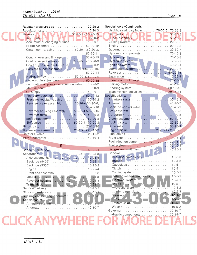| Radiator pressure cap  20-25-2                                                                |                | Special tools (Continued):                                         |               |
|-----------------------------------------------------------------------------------------------|----------------|--------------------------------------------------------------------|---------------|
| Regulator tests  40-10-3                                                                      |                | Backhoe swing cylinder  70-35-5 - 70-35-6                          |               |
| Reverser 1. 1. 1. 1. 4. 1. 50-20-1-50-20-15                                                   |                |                                                                    | $30 - 20 - 5$ |
|                                                                                               |                | Clutch assembly 2012 12 2020 2020 20210-7                          |               |
| Accumulator charging orifices 50-20-1                                                         |                |                                                                    |               |
| Brake assembly  50-20-12                                                                      |                |                                                                    |               |
| Clutch control valve  50-20-1,50-20-3,                                                        |                |                                                                    |               |
|                                                                                               | $50 - 20 - 11$ | Hydraulic components  70-15-8                                      |               |
|                                                                                               |                |                                                                    |               |
| Control valve assembly 50-20-1 - 50-20-3                                                      |                |                                                                    |               |
| Cooler bypass and relief valve  50-20-2                                                       |                |                                                                    |               |
| Forward clutch assembly  50-20-4,50-20-10,                                                    |                |                                                                    |               |
|                                                                                               | $50 - 20 - 14$ |                                                                    |               |
| Hydraulic flow  50-20-5, 50-20-6                                                              |                |                                                                    |               |
| Lockout pin adjustment  50-20-15                                                              |                | Speed control linkage  20-30-7                                     |               |
| Lubrication oil pressure reduction valve 50-20-2                                              |                |                                                                    |               |
|                                                                                               |                |                                                                    |               |
| Oil supply  50-20-1                                                                           |                | Transmission, collar-shift  50-15-11                               |               |
| Planetary gear set 50-20-13                                                                   |                | Specifications:                                                    |               |
| Pressure regulating valve New Lewis 2012-20-20-20<br>Reverse brake assembly  50-20-4,50-20-6, |                | Alternator  40-10-7                                                |               |
|                                                                                               | $50 - 20 - 10$ |                                                                    |               |
|                                                                                               |                |                                                                    |               |
| Reverser housing assembly 50-20-4,50-20-15<br>Reverser tests 50-20-7 - 50-20-8                |                |                                                                    |               |
|                                                                                               |                |                                                                    |               |
| Shift valve 50-20-1 - 50-20-2                                                                 |                |                                                                    |               |
|                                                                                               |                |                                                                    |               |
| Rocker arm assembly  20-10-2 - 20-10-3                                                        |                |                                                                    |               |
|                                                                                               |                |                                                                    |               |
|                                                                                               |                |                                                                    |               |
|                                                                                               |                | Fuel injection pump 30-25-4                                        |               |
| S                                                                                             |                |                                                                    |               |
|                                                                                               |                |                                                                    |               |
|                                                                                               |                | General:                                                           |               |
| Separation: 1.1.1.1.1.1.1.1.1.1.1.1.1.1.1.25-8<br>Axle assemblies                             |                |                                                                    |               |
|                                                                                               |                |                                                                    |               |
|                                                                                               |                |                                                                    |               |
|                                                                                               | $10 - 25 - 4$  |                                                                    |               |
| Front end assembly                                                                            | $10 - 25 - 3$  | Cooling system                                                     | $10 - 5 - 1$  |
|                                                                                               | $10 - 25 - 8$  | Differential and final drives                                      | $10 - 5 - 1$  |
|                                                                                               | $10 - 25 - 5$  |                                                                    | $10 - 5 - 1$  |
|                                                                                               | $10 - 25 - 7$  |                                                                    | $10 - 5 - 1$  |
| Service, delivery                                                                             | $10 - 10 - 3$  | Hydraulic system                                                   | $10 - 5 - 2$  |
| Service, predelivery with the contract of                                                     | $10 - 10 - 1$  | Loader dimensions                                                  | $10 - 5 - 3$  |
| Slip ring end bearing, alternator                                                             | $40 - 10 - 3$  |                                                                    | $10 - 5 - 2$  |
| Special tools:                                                                                |                | Tires <b>All Property Community</b>                                | $10 - 5 - 2$  |
| Air intake system                                                                             | $30 - 15 - 2$  |                                                                    | $10-5-1$      |
| Alternator                                                                                    | $40 - 10 - 7$  |                                                                    | $10 - 5 - 2$  |
|                                                                                               |                | Governor $\ldots \ldots \ldots \ldots \ldots \ldots \ldots \ldots$ | $20 - 30 - 7$ |
|                                                                                               |                | Hydraulic components                                               | $70 - 15 - 7$ |
|                                                                                               |                |                                                                    |               |